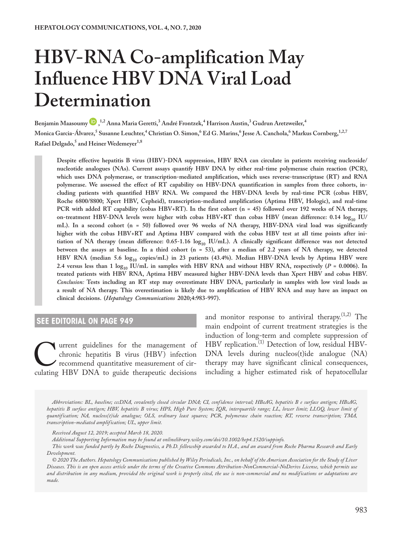# **HBV-RNA Co-amplification May Influence HBV DNA Viral Load Determination**

**Benjamin Maasoumy , 1,2 Anna Maria Geretti,3 André Frontzek,4 Harrison Austin,3 Gudrun Aretzweiler,4**  $M$ onica Garcia-Álvarez, $^5$ Susanne Leuchter, $^4$  Christian O. Simon, $^6$  Ed G. Marins, $^6$  Jesse A. Canchola, $^6$  Markus Cornberg, $^{1,2,7}$  $\mathrm{Rafael}\:\mathrm{Delgado}^5$  and  $\mathrm{Heiner}\:\mathrm{Wedemeyer}^{1,8}$ 

**Despite effective hepatitis B virus (HBV)-DNA suppression, HBV RNA can circulate in patients receiving nucleoside/ nucleotide analogues (NAs). Current assays quantify HBV DNA by either real-time polymerase chain reaction (PCR), which uses DNA polymerase, or transcription-mediated amplification, which uses reverse-transcriptase (RT) and RNA polymerase. We assessed the effect of RT capability on HBV-DNA quantification in samples from three cohorts, including patients with quantified HBV RNA. We compared the HBV-DNA levels by real-time PCR (cobas HBV, Roche 6800/8800; Xpert HBV, Cepheid), transcription-mediated amplification (Aptima HBV, Hologic), and real-time PCR with added RT capability (cobas HBV+RT). In the first cohort (n = 45) followed over 192 weeks of NA therapy,**  on-treatment HBV-DNA levels were higher with cobas HBV+RT than cobas HBV (mean difference: 0.14 log<sub>10</sub> IU/ **mL). In a second cohort (n = 50) followed over 96 weeks of NA therapy, HBV-DNA viral load was significantly higher with the cobas HBV+RT and Aptima HBV compared with the cobas HBV test at all time points after ini**tiation of NA therapy (mean difference: 0.65-1.16  $log_{10}$  IU/mL). A clinically significant difference was not detected **between the assays at baseline. In a third cohort (n = 53), after a median of 2.2 years of NA therapy, we detected**  HBV RNA (median 5.6 log<sub>10</sub> copies/mL) in 23 patients (43.4%). Median HBV-DNA levels by Aptima HBV were 2.4 versus less than 1  $\log_{10}$  IU/mL in samples with HBV RNA and without HBV RNA, respectively ( $P = 0.0006$ ). In **treated patients with HBV RNA, Aptima HBV measured higher HBV-DNA levels than Xpert HBV and cobas HBV.**  *Conclusion:* **Tests including an RT step may overestimate HBV DNA, particularly in samples with low viral loads as a result of NA therapy. This overestimation is likely due to amplification of HBV RNA and may have an impact on clinical decisions. (***Hepatology Communications* **2020;4:983-997).**

### **SEE EDITORIAL ON PAGE [949](https://doi.org/10.1002/hep4.1554)**

Turrent guidelines for the management of chronic hepatitis B virus (HBV) infection recommend quantitative measurement of circulating HBV DNA to guide therapeutic decisions chronic hepatitis B virus (HBV) infection recommend quantitative measurement of cir-

and monitor response to antiviral therapy. $(1,2)$  The main endpoint of current treatment strategies is the induction of long-term and complete suppression of HBV replication.<sup>(1)</sup> Detection of low, residual HBV-DNA levels during nucleos(t)ide analogue (NA) therapy may have significant clinical consequences, including a higher estimated risk of hepatocellular

*Abbreviations: BL, baseline; cccDNA, covalently closed circular DNA; CI, confidence interval; HBeAG, hepatitis B e surface antigen; HBsAG, hepatitis B surface antigen; HBV, hepatitis B virus; HPS, High Pure System; IQR, interquartile range; LL, lower limit; LLOQ, lower limit of quantification; NA, nucleos(t)ide analogue; OLS, ordinary least squares; PCR, polymerase chain reaction; RT, reverse transcription; TMA, transcription-mediated amplification; UL, upper limit.*

*Additional Supporting Information may be found at [onlinelibrary.wiley.com/doi/10.1002/hep4.1520/suppinfo.](https://onlinelibrary.wiley.com/doi/10.1002/hep4.1520/suppinfo)*

*Received August 12, 2019; accepted March 18, 2020.*

*This work was funded partly by Roche Diagnostics, a Ph.D. fellowship awarded to H.A., and an award from Roche Pharma Research and Early Development.*

*<sup>© 2020</sup> The Authors. Hepatology Communications published by Wiley Periodicals, Inc., on behalf of the American Association for the Study of Liver Diseases. This is an open access article under the terms of the [Creative Commons Attribution-NonCommercial-NoDerivs](http://creativecommons.org/licenses/by-nc-nd/4.0/) License, which permits use and distribution in any medium, provided the original work is properly cited, the use is non-commercial and no modifications or adaptations are made.*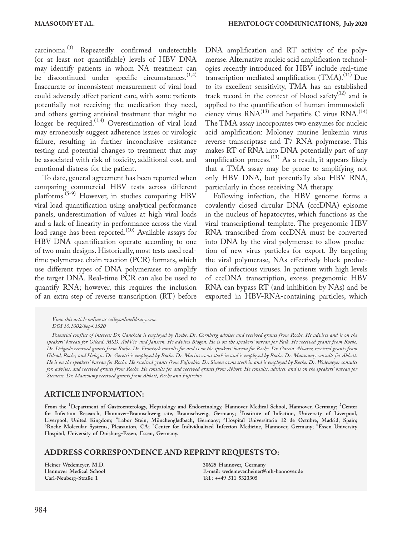carcinoma.<sup>(3)</sup> Repeatedly confirmed undetectable (or at least not quantifiable) levels of HBV DNA may identify patients in whom NA treatment can be discontinued under specific circumstances.  $(1,4)$ Inaccurate or inconsistent measurement of viral load could adversely affect patient care, with some patients potentially not receiving the medication they need, and others getting antiviral treatment that might no longer be required.<sup>(1,4)</sup> Overestimation of viral load may erroneously suggest adherence issues or virologic failure, resulting in further inconclusive resistance testing and potential changes to treatment that may be associated with risk of toxicity, additional cost, and emotional distress for the patient.

To date, general agreement has been reported when comparing commercial HBV tests across different platforms.(5-9) However, in studies comparing HBV viral load quantification using analytical performance panels, underestimation of values at high viral loads and a lack of linearity in performance across the viral load range has been reported.<sup>(10)</sup> Available assays for HBV-DNA quantification operate according to one of two main designs. Historically, most tests used realtime polymerase chain reaction (PCR) formats, which use different types of DNA polymerases to amplify the target DNA. Real-time PCR can also be used to quantify RNA; however, this requires the inclusion of an extra step of reverse transcription (RT) before

DNA amplification and RT activity of the polymerase. Alternative nucleic acid amplification technologies recently introduced for HBV include real-time transcription-mediated amplification (TMA).<sup>(11)</sup> Due to its excellent sensitivity, TMA has an established track record in the context of blood safety $(12)$  and is applied to the quantification of human immunodeficiency virus  $\text{RNA}^{(13)}$  and hepatitis C virus  $\text{RNA}^{(14)}$ The TMA assay incorporates two enzymes for nucleic acid amplification: Moloney murine leukemia virus reverse transcriptase and T7 RNA polymerase. This makes RT of RNA into DNA potentially part of any amplification process.<sup>(11)</sup> As a result, it appears likely that a TMA assay may be prone to amplifying not only HBV DNA, but potentially also HBV RNA, particularly in those receiving NA therapy.

Following infection, the HBV genome forms a covalently closed circular DNA (cccDNA) episome in the nucleus of hepatocytes, which functions as the viral transcriptional template. The pregenomic HBV RNA transcribed from cccDNA must be converted into DNA by the viral polymerase to allow production of new virus particles for export. By targeting the viral polymerase, NAs effectively block production of infectious viruses. In patients with high levels of cccDNA transcription, excess pregenomic HBV RNA can bypass RT (and inhibition by NAs) and be exported in HBV-RNA-containing particles, which

*View this article online at wileyonlinelibrary.com. DOI 10.1002/hep4.1520*

*Potential conflict of interest: Dr. Canchola is employed by Roche. Dr. Cornberg advises and received grants from Roche. He advises and is on the speakers' bureau for Gilead, MSD, AbbVie, and Janssen. He advises Biogen. He is on the speakers' bureau for Falk. He received grants from Roche. Dr. Delgado received grants from Roche. Dr. Frontzek consults for and is on the speakers' bureau for Roche. Dr. Garcia-Alvarez received grants from Gilead, Roche, and Hologic. Dr. Geretti is employed by Roche. Dr. Marins owns stock in and is employed by Roche. Dr. Maasoumy consults for Abbott. He is on the speakers' bureau for Roche. He received grants from Fujirebio. Dr. Simon owns stock in and is employed by Roche. Dr. Wedemeyer consults for, advises, and received grants from Roche. He consults for and received grants from Abbott. He consults, advises, and is on the speakers' bureau for Siemens. Dr. Maasoumy received grants from Abbott, Roche and Fujirebio.*

#### **ARTICLE INFORMATION:**

**From the <sup>1</sup> Department of Gastroenterology, Hepatology and Endocrinology, Hannover Medical School, Hannover, Germany; <sup>2</sup> Center for Infection Research, Hannover-Braunschweig site, Braunschweig, Germany; <sup>3</sup> Institute of Infection, University of Liverpool, Liverpool, United Kingdom; <sup>4</sup> Labor Stein, Mönchengladbach, Germany; <sup>5</sup>** Liverpool, United Kingdom; "Labor Stein, Mönchengladbach, Germany; "Hospital Universitario 12 de Octubre, Madrid, Spain;<br><sup>6</sup>Roche Molecular Systems, Pleasanton, CA; <sup>7</sup>Center for Individualized Infection Medicine, Hannover **Hospital, University of Duisburg-Essen, Essen, Germany.**

#### **ADDRESS CORRESPONDENCE AND REPRINT REQUESTS TO:**

**Heiner Wedemeyer, M.D. Hannover Medical School Carl-Neuberg-Straße 1** 

**30625 Hannover, Germany E-mail: [wedemeyer.heiner@mh-hannover.de](mailto:wedemeyer.heiner@mh-hannover.de)  Tel.: ++49 511 5323305**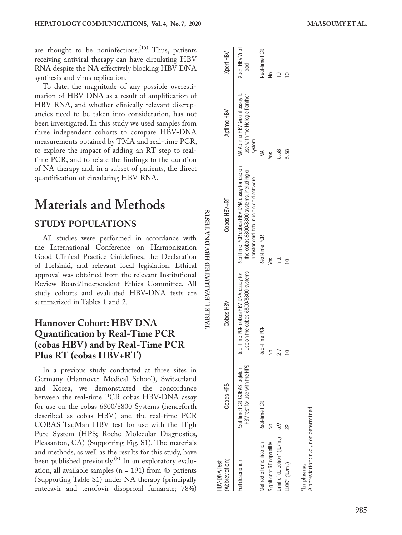are thought to be noninfectious.<sup>(15)</sup> Thus, patients receiving antiviral therapy can have circulating HBV RNA despite the NA effectively blocking HBV DNA synthesis and virus replication.

To date, the magnitude of any possible overesti mation of HBV DNA as a result of amplification of HBV RNA, and whether clinically relevant discrep ancies need to be taken into consideration, has not been investigated. In this study we used samples from three independent cohorts to compare HBV-DNA measurements obtained by TMA and real-time PCR, to explore the impact of adding an RT step to realtime PCR, and to relate the findings to the duration of NA therapy and, in a subset of patients, the direct quantification of circulating HBV RNA.

# **Materials and Methods**

## **STUDY** P

All studies were performed in accordance with the International Conference on Harmonization Good Clinical Practice Guidelines, the Declaration of Helsinki, and relevant local legislation. Ethical approval was obtained from the relevant Institutional Review Board/Independent Ethics Committee. All study cohorts and evaluated HBV-DNA tests are summarized in Tables 1 and 2.

## **Hannover Cohort: HBV DNA Quantification by Real-Time PCR (cobas HBV) and by Real-Time PCR Plus RT (cobas HBV+RT )**

In a previous study conducted at three sites in Germany (Hannover Medical School), Switzerland and Korea, we demonstrated the concordance between the real-time PCR cobas HBV-DNA assay for use on the cobas 6800/8800 Systems (henceforth described as cobas HBV) and the real-time PCR COBAS TaqMan HBV test for use with the High Pure System (HPS; Roche Molecular Diagnostics, Pleasanton, CA) (Supporting Fig. S1). The materials and methods, as well as the results for this study, have been published previously.<sup>(8)</sup> In an exploratory evaluation, all available samples ( $n = 191$ ) from 45 patients (Supporting Table S1) under NA therapy (principally entecavir and tenofovir disoproxil fumarate; 78%)

| (Abbreviation)<br><b>HBV-DNA Test</b> | Cobas HPS                                                   | Cobas HBV                          | Cobas HBV+RT                                                                                                                                                                                             | Aptima HBV                             | Xpert HBV               |
|---------------------------------------|-------------------------------------------------------------|------------------------------------|----------------------------------------------------------------------------------------------------------------------------------------------------------------------------------------------------------|----------------------------------------|-------------------------|
| ull description                       | Real-time PCR COBAS TagMan<br>HBV test for use with the HPS | use on the cobas 6800/8800 systems | Real-time PCR cobas HBV DNA assay for Real-time PCR cobas HBV DNA assay for use on TMA Aptima HBV Quant assay for<br>the cobas 6800/8800 systems, including a<br>nonstandard total nucleic acid software | use with the Hologic Panther<br>system | Xpert HBV Viral<br>lood |
| Nethod of amplification               | Real-time PCR                                               | Real-time PCR                      | Real-time PCR                                                                                                                                                                                            | TMA                                    | Real-time PCR           |
| Significant RT capability             |                                                             | $\geq$                             | Yes                                                                                                                                                                                                      | Ves                                    | $\frac{1}{2}$           |
| imit of detection* (IU/mL)            | 5.9                                                         | 2.7                                | n.a                                                                                                                                                                                                      | 5.58                                   |                         |
| $\text{LOQ*}$ (IU/mL)                 | 29                                                          | $\supseteq$                        | $\supseteq$                                                                                                                                                                                              | 5.58                                   |                         |
| In plasma.                            |                                                             |                                    |                                                                                                                                                                                                          |                                        |                         |
| Abbreviation: n.d., not determined.   |                                                             |                                    |                                                                                                                                                                                                          |                                        |                         |

**TABLE 1. EVALUATED HBV DNA TESTS**

TABLE 1. EVALUATED HBV DNA TESTS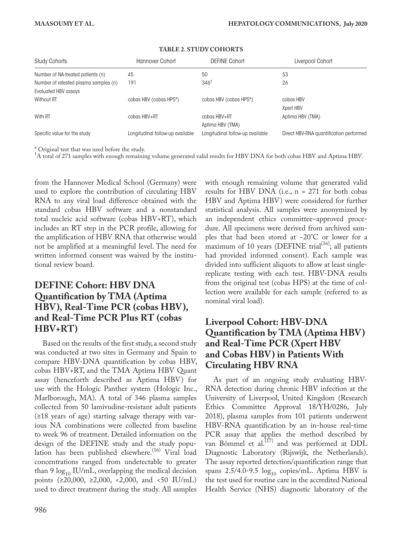| <b>Study Cohorts</b>                                          | Hannover Cohort                  | <b>DEFINE Cohort</b>             | Liverpool Cohort                        |
|---------------------------------------------------------------|----------------------------------|----------------------------------|-----------------------------------------|
| Number of NA-treated patients (n)                             | 45                               | 50                               | 53                                      |
| Number of retested plasma samples (n)<br>Evaluated HBV assays | 191                              | $346^{\dagger}$                  | 26                                      |
| <b>Without RT</b>                                             | cobas HBV (cobas HPS*)           | cobas HBV (cobas HPS*)           | cobas HBV<br>Xpert HBV                  |
| With RT                                                       | cobas HBV+RT                     | cobas HBV+RT<br>Aptima HBV (TMA) | Aptima HBV (TMA)                        |
| Specific value for the study                                  | Longitudinal follow-up available | Longitudinal follow-up available | Direct HBV-RNA quantification performed |

#### **TABLE 2. STUDY COHORTS**

\* Original test that was used before the study.

† A total of 271 samples with enough remaining volume generated valid results for HBV DNA for both cobas HBV and Aptima HBV.

from the Hannover Medical School (Germany) were used to explore the contribution of circulating HBV RNA to any viral load difference obtained with the standard cobas HBV software and a nonstandard total nucleic acid software (cobas HBV+RT), which includes an RT step in the PCR profile, allowing for the amplification of HBV RNA that otherwise would not be amplified at a meaningful level. The need for written informed consent was waived by the institutional review board.

## **DEFINE Cohort: HBV DNA Quantification by TMA (Aptima HBV), Real-Time PCR (cobas HBV), and Real-Time PCR Plus RT (cobas HBV+RT)**

Based on the results of the first study, a second study was conducted at two sites in Germany and Spain to compare HBV-DNA quantification by cobas HBV, cobas HBV+RT, and the TMA Aptima HBV Quant assay (henceforth described as Aptima HBV) for use with the Hologic Panther system (Hologic Inc., Marlborough, MA). A total of 346 plasma samples collected from 50 lamivudine-resistant adult patients (≥18 years of age) starting salvage therapy with various NA combinations were collected from baseline to week 96 of treatment. Detailed information on the design of the DEFINE study and the study population has been published elsewhere.<sup>(16)</sup> Viral load concentrations ranged from undetectable to greater than 9  $\log_{10}$  IU/mL, overlapping the medical decision points (≥20,000, ≥2,000, <2,000, and <50 IU/mL) used to direct treatment during the study. All samples

with enough remaining volume that generated valid results for HBV DNA (i.e.,  $n = 271$  for both cobas HBV and Aptima HBV) were considered for further statistical analysis. All samples were anonymized by an independent ethics committee–approved procedure. All specimens were derived from archived samples that had been stored at −20°C or lower for a maximum of 10 years (DEFINE trial<sup>(16)</sup>; all patients had provided informed consent). Each sample was divided into sufficient aliquots to allow at least singlereplicate testing with each test. HBV-DNA results from the original test (cobas HPS) at the time of collection were available for each sample (referred to as nominal viral load).

## **Liverpool Cohort: HBV-DNA Quantification by TMA (Aptima HBV) and Real-Time PCR (Xpert HBV and Cobas HBV) in Patients With Circulating HBV RNA**

As part of an ongoing study evaluating HBV-RNA detection during chronic HBV infection at the University of Liverpool, United Kingdom (Research Ethics Committee Approval 18/YH/0286, July 2018), plasma samples from 101 patients underwent HBV-RNA quantification by an in-house real-time PCR assay that applies the method described by van Bömmel et al. $(17)$  and was performed at DDL Diagnostic Laboratory (Rijswijk, the Netherlands). The assay reported detection/quantification range that spans  $2.5/4.0$ -9.5  $log_{10}$  copies/mL. Aptima HBV is the test used for routine care in the accredited National Health Service (NHS) diagnostic laboratory of the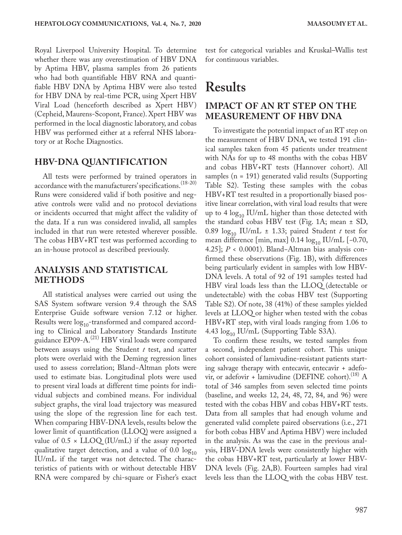Royal Liverpool University Hospital. To determine whether there was any overestimation of HBV DNA by Aptima HBV, plasma samples from 26 patients who had both quantifiable HBV RNA and quantifiable HBV DNA by Aptima HBV were also tested for HBV DNA by real-time PCR, using Xpert HBV Viral Load (henceforth described as Xpert HBV) (Cepheid, Maurens-Scopont, France). Xpert HBV was performed in the local diagnostic laboratory, and cobas HBV was performed either at a referral NHS laboratory or at Roche Diagnostics.

### **HBV-DNA QUANTIFICATION**

All tests were performed by trained operators in accordance with the manufacturers' specifications.(18-20) Runs were considered valid if both positive and negative controls were valid and no protocol deviations or incidents occurred that might affect the validity of the data. If a run was considered invalid, all samples included in that run were retested wherever possible. The cobas HBV+RT test was performed according to an in-house protocol as described previously.

## **ANALYSIS AND STATISTICAL METHODS**

All statistical analyses were carried out using the SAS System software version 9.4 through the SAS Enterprise Guide software version 7.12 or higher. Results were  $log_{10}$ -transformed and compared according to Clinical and Laboratory Standards Institute guidance EP09-A.<sup>(21)</sup> HBV viral loads were compared between assays using the Student *t* test, and *s*catter plots were overlaid with the Deming regression lines used to assess correlation; Bland−Altman plots were used to estimate bias. Longitudinal plots were used to present viral loads at different time points for individual subjects and combined means. For individual subject graphs, the viral load trajectory was measured using the slope of the regression line for each test. When comparing HBV-DNA levels, results below the lower limit of quantification (LLOQ) were assigned a value of  $0.5 \times LLOQ$  (IU/mL) if the assay reported qualitative target detection, and a value of  $0.0 \log_{10}$ IU/mL if the target was not detected. The characteristics of patients with or without detectable HBV RNA were compared by chi-square or Fisher's exact

test for categorical variables and Kruskal–Wallis test for continuous variables.

# **Results**

## **IMPACT OF AN RT STEP ON THE MEASUREMENT OF HBV DNA**

To investigate the potential impact of an RT step on the measurement of HBV DNA, we tested 191 clinical samples taken from 45 patients under treatment with NAs for up to 48 months with the cobas HBV and cobas HBV+RT tests (Hannover cohort). All samples (n = 191) generated valid results (Supporting Table S2). Testing these samples with the cobas HBV+RT test resulted in a proportionally biased positive linear correlation, with viral load results that were up to 4  $\log_{10}$  IU/mL higher than those detected with the standard cobas HBV test (Fig. 1A; mean ± SD, 0.89  $\log_{10}$  IU/mL  $\pm$  1.33; paired Student *t* test for mean difference [min, max]  $0.14 \log_{10}$  IU/mL [-0.70, 4.25]; *P* < 0.0001). Bland−Altman bias analysis confirmed these observations (Fig. 1B), with differences being particularly evident in samples with low HBV-DNA levels. A total of 92 of 191 samples tested had HBV viral loads less than the LLOQ (detectable or undetectable) with the cobas HBV test (Supporting Table S2). Of note, 38 (41%) of these samples yielded levels at LLOQ or higher when tested with the cobas HBV+RT step, with viral loads ranging from 1.06 to 4.43  $log_{10}$  IU/mL (Supporting Table S3A).

To confirm these results, we tested samples from a second, independent patient cohort. This unique cohort consisted of lamivudine-resistant patients starting salvage therapy with entecavir, entecavir + adefovir, or adefovir + lamivudine (DEFINE cohort).<sup>(18)</sup> A total of 346 samples from seven selected time points (baseline, and weeks 12, 24, 48, 72, 84, and 96) were tested with the cobas HBV and cobas HBV+RT tests. Data from all samples that had enough volume and generated valid complete paired observations (i.e., 271 for both cobas HBV and Aptima HBV) were included in the analysis. As was the case in the previous analysis, HBV-DNA levels were consistently higher with the cobas HBV+RT test, particularly at lower HBV-DNA levels (Fig. 2A,B). Fourteen samples had viral levels less than the LLOQ with the cobas HBV test.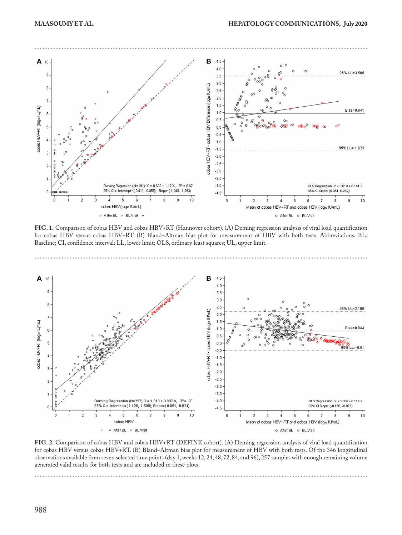

**FIG. 1.** Comparison of cobas HBV and cobas HBV+RT (Hannover cohort). (A) Deming regression analysis of viral load quantification for cobas HBV versus cobas HBV+RT. (B) Bland−Altman bias plot for measurement of HBV with both tests. Abbreviations: BL: Baseline; CI, confidence interval; LL, lower limit; OLS, ordinary least squares; UL, upper limit.



**FIG. 2.** Comparison of cobas HBV and cobas HBV+RT (DEFINE cohort). (A) Deming regression analysis of viral load quantification for cobas HBV versus cobas HBV+RT. (B) Bland−Altman bias plot for measurement of HBV with both tests. Of the 346 longitudinal observations available from seven selected time points (day 1, weeks 12, 24, 48, 72, 84, and 96), 257 samples with enough remaining volume generated valid results for both tests and are included in these plots.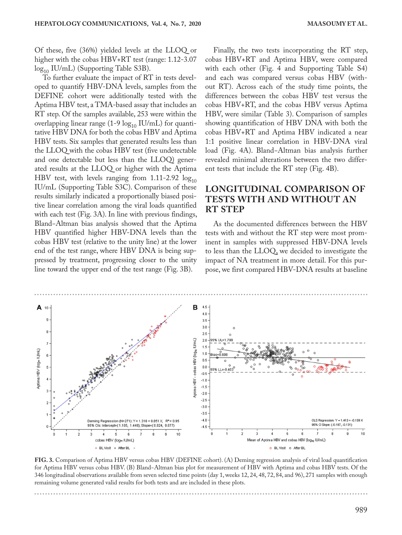Of these, five (36%) yielded levels at the LLOQ or higher with the cobas HBV+RT test (range: 1.12-3.07  $log_{10}$  IU/mL) (Supporting Table S3B).

To further evaluate the impact of RT in tests developed to quantify HBV-DNA levels, samples from the DEFINE cohort were additionally tested with the Aptima HBV test, a TMA-based assay that includes an RT step. Of the samples available, 253 were within the overlapping linear range (1-9  $log_{10}$  IU/mL) for quantitative HBV DNA for both the cobas HBV and Aptima HBV tests. Six samples that generated results less than the LLOQ with the cobas HBV test (five undetectable and one detectable but less than the LLOQ) generated results at the LLOQ or higher with the Aptima HBV test, with levels ranging from 1.11-2.92  $log_{10}$ IU/mL (Supporting Table S3C). Comparison of these results similarly indicated a proportionally biased positive linear correlation among the viral loads quantified with each test (Fig. 3A). In line with previous findings, Bland−Altman bias analysis showed that the Aptima HBV quantified higher HBV-DNA levels than the cobas HBV test (relative to the unity line) at the lower end of the test range, where HBV DNA is being suppressed by treatment, progressing closer to the unity line toward the upper end of the test range (Fig. 3B).

Finally, the two tests incorporating the RT step, cobas HBV+RT and Aptima HBV, were compared with each other (Fig. 4 and Supporting Table S4) and each was compared versus cobas HBV (without RT). Across each of the study time points, the differences between the cobas HBV test versus the cobas HBV+RT, and the cobas HBV versus Aptima HBV, were similar (Table 3). Comparison of samples showing quantification of HBV DNA with both the cobas HBV+RT and Aptima HBV indicated a near 1:1 positive linear correlation in HBV-DNA viral load (Fig. 4A). Bland−Altman bias analysis further revealed minimal alterations between the two different tests that include the RT step (Fig. 4B).

## **LONGITUDINAL COMPARISON OF TESTS WITH AND WITHOUT AN RT STEP**

As the documented differences between the HBV tests with and without the RT step were most prominent in samples with suppressed HBV-DNA levels to less than the LLOQ, we decided to investigate the impact of NA treatment in more detail. For this purpose, we first compared HBV-DNA results at baseline



**FIG. 3.** Comparison of Aptima HBV versus cobas HBV (DEFINE cohort). (A) Deming regression analysis of viral load quantification for Aptima HBV versus cobas HBV. (B) Bland−Altman bias plot for measurement of HBV with Aptima and cobas HBV tests. Of the 346 longitudinal observations available from seven selected time points (day 1, weeks 12, 24, 48, 72, 84, and 96), 271 samples with enough remaining volume generated valid results for both tests and are included in these plots.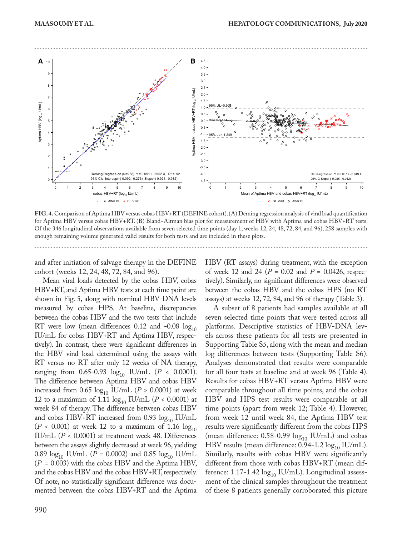

**FIG. 4.** Comparison of Aptima HBV versus cobas HBV+RT (DEFINE cohort). (A) Deming regression analysis of viral load quantification for Aptima HBV versus cobas HBV+RT. (B) Bland−Altman bias plot for measurement of HBV with Aptima and cobas HBV+RT tests. Of the 346 longitudinal observations available from seven selected time points (day 1, weeks 12, 24, 48, 72, 84, and 96), 258 samples with enough remaining volume generated valid results for both tests and are included in these plots.

and after initiation of salvage therapy in the DEFINE cohort (weeks 12, 24, 48, 72, 84, and 96).

Mean viral loads detected by the cobas HBV, cobas HBV+RT, and Aptima HBV tests at each time point are shown in Fig. 5, along with nominal HBV-DNA levels measured by cobas HPS. At baseline, discrepancies between the cobas HBV and the two tests that include RT were low (mean differences 0.12 and -0.08  $log_{10}$ IU/mL for cobas HBV+RT and Aptima HBV, respectively). In contrast, there were significant differences in the HBV viral load determined using the assays with RT versus no RT after only 12 weeks of NA therapy, ranging from 0.65-0.93  $log_{10}$  IU/mL (*P* < 0.0001). The difference between Aptima HBV and cobas HBV increased from  $0.65 \log_{10}$  IU/mL ( $P > 0.0001$ ) at week 12 to a maximum of 1.11  $\log_{10}$  IU/mL (*P* < 0.0001) at week 84 of therapy. The difference between cobas HBV and cobas HBV+RT increased from 0.93  $log_{10}$  IU/mL  $(P < 0.001)$  at week 12 to a maximum of 1.16  $log_{10}$ IU/mL (*P* < 0.0001) at treatment week 48. Differences between the assays slightly decreased at week 96, yielding 0.89  $\log_{10}$  IU/mL (*P* = 0.0002) and 0.85  $\log_{10}$  IU/mL (*P*  = 0.003) with the cobas HBV and the Aptima HBV, and the cobas HBV and the cobas HBV+RT, respectively. Of note, no statistically significant difference was documented between the cobas HBV+RT and the Aptima HBV (RT assays) during treatment, with the exception of week 12 and 24 ( $P = 0.02$  and  $P = 0.0426$ , respectively). Similarly, no significant differences were observed between the cobas HBV and the cobas HPS (no RT assays) at weeks 12, 72, 84, and 96 of therapy (Table 3).

A subset of 8 patients had samples available at all seven selected time points that were tested across all platforms. Descriptive statistics of HBV-DNA levels across these patients for all tests are presented in Supporting Table S5, along with the mean and median log differences between tests (Supporting Table S6). Analyses demonstrated that results were comparable for all four tests at baseline and at week 96 (Table 4). Results for cobas HBV+RT versus Aptima HBV were comparable throughout all time points, and the cobas HBV and HPS test results were comparable at all time points (apart from week 12; Table 4). However, from week 12 until week 84, the Aptima HBV test results were significantly different from the cobas HPS (mean difference:  $0.58$ -0.99  $\log_{10}$  IU/mL) and cobas HBV results (mean difference:  $0.94$ -1.2  $\log_{10}$  IU/mL). Similarly, results with cobas HBV were significantly different from those with cobas HBV+RT (mean difference: 1.17-1.42  $\log_{10}$  IU/mL). Longitudinal assessment of the clinical samples throughout the treatment of these 8 patients generally corroborated this picture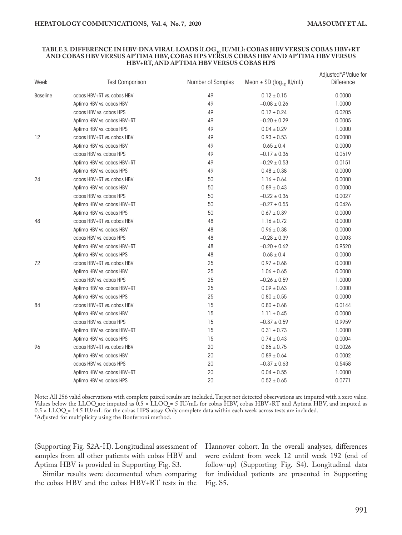#### **TABLE 3. DIFFERENCE IN HBV-DNA VIRAL LOADS (LOG10 IU/ML): COBAS HBV VERSUS COBAS HBV+RT AND COBAS HBV VERSUS APTIMA HBV, COBAS HPS VERSUS COBAS HBV AND APTIMA HBV VERSUS HBV+RT, AND APTIMA HBV VERSUS COBAS HPS**

| Week            | <b>Test Comparison</b>                                                                                                                                                                                                                                                                                                                                                                                                                                                                                                                                                                                                                                                                                                                       | Number of Samples | Mean $\pm$ SD (log <sub>10</sub> IU/mL) | Adjusted*PValue for<br>Difference |
|-----------------|----------------------------------------------------------------------------------------------------------------------------------------------------------------------------------------------------------------------------------------------------------------------------------------------------------------------------------------------------------------------------------------------------------------------------------------------------------------------------------------------------------------------------------------------------------------------------------------------------------------------------------------------------------------------------------------------------------------------------------------------|-------------------|-----------------------------------------|-----------------------------------|
| <b>Baseline</b> | cobas HBV+RT vs. cobas HBV                                                                                                                                                                                                                                                                                                                                                                                                                                                                                                                                                                                                                                                                                                                   | 49                | $0.12 \pm 0.15$                         | 0.0000                            |
|                 | Aptima HBV vs. cobas HBV                                                                                                                                                                                                                                                                                                                                                                                                                                                                                                                                                                                                                                                                                                                     | 49                | $-0.08 \pm 0.26$                        | 1.0000                            |
|                 | cobas HBV vs. cobas HPS                                                                                                                                                                                                                                                                                                                                                                                                                                                                                                                                                                                                                                                                                                                      | 49                | $0.12 \pm 0.24$                         | 0.0205                            |
|                 | Aptima HBV vs. cobas HBV+RT                                                                                                                                                                                                                                                                                                                                                                                                                                                                                                                                                                                                                                                                                                                  | 49                | $-0.20 \pm 0.29$                        | 0.0005                            |
|                 | Aptima HBV vs. cobas HPS                                                                                                                                                                                                                                                                                                                                                                                                                                                                                                                                                                                                                                                                                                                     | 49                | $0.04 \pm 0.29$                         | 1.0000                            |
| 12              | cobas HBV+RT vs. cobas HBV                                                                                                                                                                                                                                                                                                                                                                                                                                                                                                                                                                                                                                                                                                                   | 49                | $0.93 \pm 0.53$                         | 0.0000                            |
|                 | Aptima HBV vs. cobas HBV<br>cobas HBV vs. cobas HPS<br>Aptima HBV vs. cobas HBV+RT<br>Aptima HBV vs. cobas HPS<br>cobas HBV+RT vs. cobas HBV<br>Aptima HBV vs. cobas HBV<br>cobas HBV vs. cobas HPS<br>Aptima HBV vs. cobas HBV+RT<br>Aptima HBV vs. cobas HPS<br>cobas HBV+RT vs. cobas HBV<br>Aptima HBV vs. cobas HBV<br>cobas HBV vs. cobas HPS<br>Aptima HBV vs. cobas HBV+RT<br>Aptima HBV vs. cobas HPS<br>cobas HBV+RT vs. cobas HBV<br>Aptima HBV vs. cobas HBV<br>cobas HBV vs. cobas HPS<br>Aptima HBV vs. cobas HBV+RT<br>Aptima HBV vs. cobas HPS<br>cobas HBV+RT vs. cobas HBV<br>Aptima HBV vs. cobas HBV<br>cobas HBV vs. cobas HPS<br>Aptima HBV vs. cobas HBV+RT<br>Aptima HBV vs. cobas HPS<br>cobas HBV+RT vs. cobas HBV | 49                | $0.65\pm0.4$                            | 0.0000                            |
|                 |                                                                                                                                                                                                                                                                                                                                                                                                                                                                                                                                                                                                                                                                                                                                              | 49                | $-0.17 \pm 0.36$                        | 0.0519                            |
|                 |                                                                                                                                                                                                                                                                                                                                                                                                                                                                                                                                                                                                                                                                                                                                              | 49                | $-0.29 \pm 0.53$                        | 0.0151                            |
|                 |                                                                                                                                                                                                                                                                                                                                                                                                                                                                                                                                                                                                                                                                                                                                              | 49                | $0.48 \pm 0.38$                         | 0.0000                            |
| 24              |                                                                                                                                                                                                                                                                                                                                                                                                                                                                                                                                                                                                                                                                                                                                              | 50                | $1.16 \pm 0.64$                         | 0.0000                            |
|                 |                                                                                                                                                                                                                                                                                                                                                                                                                                                                                                                                                                                                                                                                                                                                              | 50                | $0.89 \pm 0.43$                         | 0.0000                            |
|                 |                                                                                                                                                                                                                                                                                                                                                                                                                                                                                                                                                                                                                                                                                                                                              | 50                | $-0.22 \pm 0.36$                        | 0.0027                            |
|                 |                                                                                                                                                                                                                                                                                                                                                                                                                                                                                                                                                                                                                                                                                                                                              | 50                | $-0.27\pm0.55$                          | 0.0426                            |
|                 |                                                                                                                                                                                                                                                                                                                                                                                                                                                                                                                                                                                                                                                                                                                                              | 50                | $0.67\pm0.39$                           | 0.0000                            |
| 48              |                                                                                                                                                                                                                                                                                                                                                                                                                                                                                                                                                                                                                                                                                                                                              | 48                | $1.16 \pm 0.72$                         | 0.0000                            |
|                 |                                                                                                                                                                                                                                                                                                                                                                                                                                                                                                                                                                                                                                                                                                                                              | 48                | $0.96 \pm 0.38$                         | 0.0000                            |
|                 |                                                                                                                                                                                                                                                                                                                                                                                                                                                                                                                                                                                                                                                                                                                                              | 48                | $-0.28 \pm 0.39$                        | 0.0003                            |
|                 |                                                                                                                                                                                                                                                                                                                                                                                                                                                                                                                                                                                                                                                                                                                                              | 48                | $-0.20 \pm 0.62$                        | 0.9520                            |
|                 |                                                                                                                                                                                                                                                                                                                                                                                                                                                                                                                                                                                                                                                                                                                                              | 48                | $0.68\pm0.4$                            | 0.0000                            |
| 72              |                                                                                                                                                                                                                                                                                                                                                                                                                                                                                                                                                                                                                                                                                                                                              | 25                | $0.97 \pm 0.68$                         | 0.0000                            |
|                 |                                                                                                                                                                                                                                                                                                                                                                                                                                                                                                                                                                                                                                                                                                                                              | 25                | $1.06 \pm 0.65$                         | 0.0000                            |
|                 |                                                                                                                                                                                                                                                                                                                                                                                                                                                                                                                                                                                                                                                                                                                                              | 25                | $-0.26 \pm 0.59$                        | 1.0000                            |
|                 |                                                                                                                                                                                                                                                                                                                                                                                                                                                                                                                                                                                                                                                                                                                                              | 25                | $0.09 \pm 0.63$                         | 1.0000                            |
|                 |                                                                                                                                                                                                                                                                                                                                                                                                                                                                                                                                                                                                                                                                                                                                              | 25                | $0.80 \pm 0.55$                         | 0.0000                            |
| 84              |                                                                                                                                                                                                                                                                                                                                                                                                                                                                                                                                                                                                                                                                                                                                              | 15                | $0.80 \pm 0.68$                         | 0.0144                            |
|                 |                                                                                                                                                                                                                                                                                                                                                                                                                                                                                                                                                                                                                                                                                                                                              | 15                | $1.11 \pm 0.45$                         | 0.0000                            |
|                 |                                                                                                                                                                                                                                                                                                                                                                                                                                                                                                                                                                                                                                                                                                                                              | 15                | $-0.37\pm0.59$                          | 0.9959                            |
|                 |                                                                                                                                                                                                                                                                                                                                                                                                                                                                                                                                                                                                                                                                                                                                              | 15                | $0.31 \pm 0.73$                         | 1.0000                            |
|                 |                                                                                                                                                                                                                                                                                                                                                                                                                                                                                                                                                                                                                                                                                                                                              | 15                | $0.74 \pm 0.43$                         | 0.0004                            |
| 96              |                                                                                                                                                                                                                                                                                                                                                                                                                                                                                                                                                                                                                                                                                                                                              | 20                | $0.85 \pm 0.75$                         | 0.0026                            |
|                 | Aptima HBV vs. cobas HBV                                                                                                                                                                                                                                                                                                                                                                                                                                                                                                                                                                                                                                                                                                                     | 20                | $0.89 \pm 0.64$                         | 0.0002                            |
|                 | cobas HBV vs. cobas HPS                                                                                                                                                                                                                                                                                                                                                                                                                                                                                                                                                                                                                                                                                                                      | 20                | $-0.37 \pm 0.63$                        | 0.5458                            |
|                 | Aptima HBV vs. cobas HBV+RT                                                                                                                                                                                                                                                                                                                                                                                                                                                                                                                                                                                                                                                                                                                  | 20                | $0.04 \pm 0.55$                         | 1.0000                            |
|                 | Aptima HBV vs. cobas HPS                                                                                                                                                                                                                                                                                                                                                                                                                                                                                                                                                                                                                                                                                                                     | 20                | $0.52 \pm 0.65$                         | 0.0771                            |

Note: All 256 valid observations with complete paired results are included. Target not detected observations are imputed with a zero value. Values below the LLOQ are imputed as  $0.5 \times \text{LLOQ} = 5 \text{ IU/mL}$  for cobas HBV, cobas HBV+RT and Aptima HBV, and imputed as 0.5 × LLOQ = 14.5 IU/mL for the cobas HPS assay. Only complete data within each week across tests are included. \*Adjusted for multiplicity using the Bonferroni method.

(Supporting Fig. S2A-H). Longitudinal assessment of samples from all other patients with cobas HBV and Aptima HBV is provided in Supporting Fig. S3.

Similar results were documented when comparing the cobas HBV and the cobas HBV+RT tests in the Hannover cohort. In the overall analyses, differences were evident from week 12 until week 192 (end of follow-up) (Supporting Fig. S4). Longitudinal data for individual patients are presented in Supporting Fig. S5.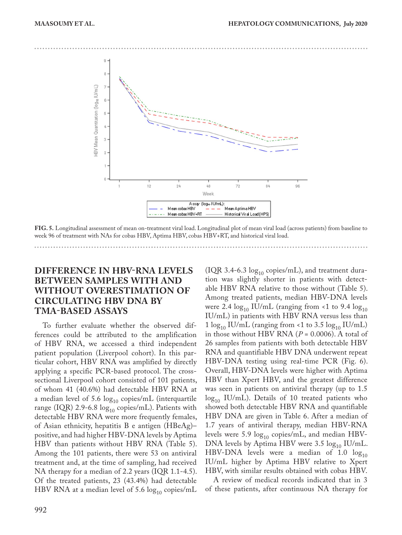

**FIG. 5.** Longitudinal assessment of mean on-treatment viral load. Longitudinal plot of mean viral load (across patients) from baseline to week 96 of treatment with NAs for cobas HBV, Aptima HBV, cobas HBV+RT, and historical viral load.

## **DIFFERENCE IN HBV-RNA LEVELS BETWEEN SAMPLES WITH AND WITHOUT OVERESTIMATION OF CIRCULATING HBV DNA BY TMA-BASED ASSAYS**

To further evaluate whether the observed differences could be attributed to the amplification of HBV RNA, we accessed a third independent patient population (Liverpool cohort). In this particular cohort, HBV RNA was amplified by directly applying a specific PCR-based protocol. The crosssectional Liverpool cohort consisted of 101 patients, of whom 41 (40.6%) had detectable HBV RNA at a median level of 5.6  $log_{10}$  copies/mL (interquartile range (IQR) 2.9-6.8  $\log_{10}$  copies/mL). Patients with detectable HBV RNA were more frequently females, of Asian ethnicity, hepatitis B e antigen (HBeAg)– positive, and had higher HBV-DNA levels by Aptima HBV than patients without HBV RNA (Table 5). Among the 101 patients, there were 53 on antiviral treatment and, at the time of sampling, had received NA therapy for a median of 2.2 years (IQR 1.1-4.5). Of the treated patients, 23 (43.4%) had detectable HBV RNA at a median level of 5.6  $log_{10}$  copies/mL (IQR 3.4-6.3  $log_{10}$  copies/mL), and treatment duration was slightly shorter in patients with detectable HBV RNA relative to those without (Table 5). Among treated patients, median HBV-DNA levels were 2.4  $\log_{10}$  IU/mL (ranging from <1 to 9.4  $\log_{10}$ IU/mL) in patients with HBV RNA versus less than 1  $\log_{10}$  IU/mL (ranging from <1 to 3.5  $\log_{10}$  IU/mL) in those without HBV RNA  $(P = 0.0006)$ . A total of 26 samples from patients with both detectable HBV RNA and quantifiable HBV DNA underwent repeat HBV-DNA testing using real-time PCR (Fig. 6). Overall, HBV-DNA levels were higher with Aptima HBV than Xpert HBV, and the greatest difference was seen in patients on antiviral therapy (up to 1.5  $log_{10}$  IU/mL). Details of 10 treated patients who showed both detectable HBV RNA and quantifiable HBV DNA are given in Table 6. After a median of 1.7 years of antiviral therapy, median HBV-RNA levels were 5.9  $\log_{10}$  copies/mL, and median HBV-DNA levels by Aptima HBV were 3.5  $log_{10}$  IU/mL. HBV-DNA levels were a median of 1.0  $log_{10}$ IU/mL higher by Aptima HBV relative to Xpert HBV, with similar results obtained with cobas HBV.

A review of medical records indicated that in 3 of these patients, after continuous NA therapy for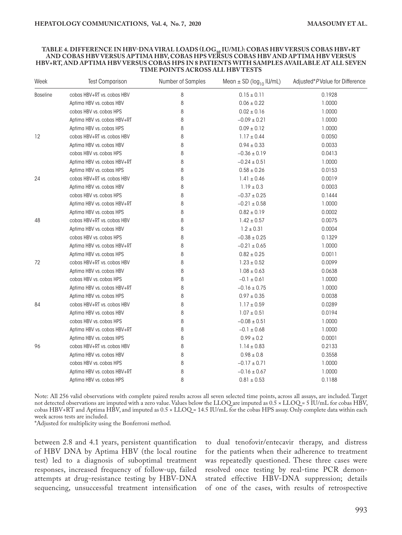#### **TABLE 4. DIFFERENCE IN HBV-DNA VIRAL LOADS (LOG10 IU/ML): COBAS HBV VERSUS COBAS HBV+RT AND COBAS HBV VERSUS APTIMA HBV, COBAS HPS VERSUS COBAS HBV AND APTIMA HBV VERSUS HBV+RT, AND APTIMA HBV VERSUS COBAS HPS IN 8 PATIENTS WITH SAMPLES AVAILABLE AT ALL SEVEN TIME POINTS ACROSS ALL HBV TESTS**

| Week            | <b>Test Comparison</b>      | Number of Samples | Mean $\pm$ SD (log <sub>10</sub> IU/mL) | Adjusted*PValue for Difference |
|-----------------|-----------------------------|-------------------|-----------------------------------------|--------------------------------|
| <b>Baseline</b> | cobas HBV+RT vs. cobas HBV  | 8                 | $0.15 \pm 0.11$                         | 0.1928                         |
|                 | Aptima HBV vs. cobas HBV    | 8                 | $0.06 \pm 0.22$                         | 1.0000                         |
|                 | cobas HBV vs. cobas HPS     | 8                 | $0.02 \pm 0.16$                         | 1.0000                         |
|                 | Aptima HBV vs. cobas HBV+RT | 8                 | $-0.09 \pm 0.21$                        | 1.0000                         |
|                 | Aptima HBV vs. cobas HPS    | 8                 | $0.09 \pm 0.12$                         | 1.0000                         |
| 12              | cobas HBV+RT vs. cobas HBV  | 8                 | $1.17 \pm 0.44$                         | 0.0050                         |
|                 | Aptima HBV vs. cobas HBV    | 8                 | $0.94 \pm 0.33$                         | 0.0033                         |
|                 | cobas HBV vs. cobas HPS     | 8                 | $-0.36 \pm 0.19$                        | 0.0413                         |
|                 | Aptima HBV vs. cobas HBV+RT | 8                 | $-0.24 \pm 0.51$                        | 1.0000                         |
|                 | Aptima HBV vs. cobas HPS    | 8                 | $0.58 \pm 0.26$                         | 0.0153                         |
| 24              | cobas HBV+RT vs. cobas HBV  | 8                 | $1.41 \pm 0.46$                         | 0.0019                         |
|                 | Aptima HBV vs. cobas HBV    | 8                 | $1.19 \pm 0.3$                          | 0.0003                         |
|                 | cobas HBV vs. cobas HPS     | 8                 | $-0.37 \pm 0.25$                        | 0.1444                         |
|                 | Aptima HBV vs. cobas HBV+RT | 8                 | $-0.21 \pm 0.58$                        | 1.0000                         |
|                 | Aptima HBV vs. cobas HPS    | 8                 | $0.82\pm0.19$                           | 0.0002                         |
| 48              | cobas HBV+RT vs. cobas HBV  | 8                 | $1.42 \pm 0.57$                         | 0.0075                         |
|                 | Aptima HBV vs. cobas HBV    | 8                 | $1.2 \pm 0.31$                          | 0.0004                         |
|                 | cobas HBV vs. cobas HPS     | 8                 | $-0.38 \pm 0.25$                        | 0.1329                         |
|                 | Aptima HBV vs. cobas HBV+RT | 8                 | $-0.21 \pm 0.65$                        | 1.0000                         |
|                 | Aptima HBV vs. cobas HPS    | 8                 | $0.82 \pm 0.25$                         | 0.0011                         |
| 72              | cobas HBV+RT vs. cobas HBV  | 8                 | $1.23 \pm 0.52$                         | 0.0099                         |
|                 | Aptima HBV vs. cobas HBV    | 8                 | $1.08 \pm 0.63$                         | 0.0638                         |
|                 | cobas HBV vs. cobas HPS     | 8                 | $-0.1 \pm 0.61$                         | 1.0000                         |
|                 | Aptima HBV vs. cobas HBV+RT | 8                 | $-0.16 \pm 0.75$                        | 1.0000                         |
|                 | Aptima HBV vs. cobas HPS    | 8                 | $0.97 \pm 0.35$                         | 0.0038                         |
| 84              | cobas HBV+RT vs. cobas HBV  | 8                 | $1.17 \pm 0.59$                         | 0.0289                         |
|                 | Aptima HBV vs. cobas HBV    | 8                 | $1.07 \pm 0.51$                         | 0.0194                         |
|                 | cobas HBV vs. cobas HPS     | 8                 | $-0.08 \pm 0.51$                        | 1.0000                         |
|                 | Aptima HBV vs. cobas HBV+RT | 8                 | $-0.1 \pm 0.68$                         | 1.0000                         |
|                 | Aptima HBV vs. cobas HPS    | 8                 | $0.99 \pm 0.2$                          | 0.0001                         |
| 96              | cobas HBV+RT vs. cobas HBV  | 8                 | $1.14\pm0.83$                           | 0.2133                         |
|                 | Aptima HBV vs. cobas HBV    | 8                 | $0.98 \pm 0.8$                          | 0.3558                         |
|                 | cobas HBV vs. cobas HPS     | 8                 | $-0.17\pm0.71$                          | 1.0000                         |
|                 | Aptima HBV vs. cobas HBV+RT | 8                 | $-0.16 \pm 0.67$                        | 1.0000                         |
|                 | Aptima HBV vs. cobas HPS    | 8                 | $0.81 \pm 0.53$                         | 0.1188                         |

Note: All 256 valid observations with complete paired results across all seven selected time points, across all assays, are included. Target not detected observations are imputed with a zero value. Values below the LLOQ are imputed as 0.5 × LLOQ = 5 IU/mL for cobas HBV, cobas HBV+RT and Aptima HBV, and imputed as 0.5 × LLOQ = 14.5 IU/mL for the cobas HPS assay. Only complete data within each week across tests are included.

\*Adjusted for multiplicity using the Bonferroni method.

between 2.8 and 4.1 years, persistent quantification of HBV DNA by Aptima HBV (the local routine test) led to a diagnosis of suboptimal treatment responses, increased frequency of follow-up, failed attempts at drug-resistance testing by HBV-DNA sequencing, unsuccessful treatment intensification to dual tenofovir/entecavir therapy, and distress for the patients when their adherence to treatment was repeatedly questioned. These three cases were resolved once testing by real-time PCR demonstrated effective HBV-DNA suppression; details of one of the cases, with results of retrospective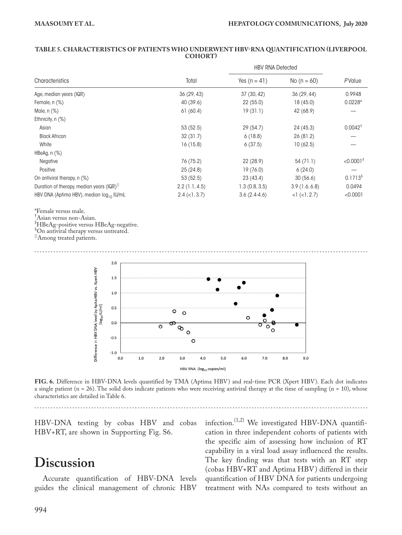#### **TABLE 5. CHARACTERISTICS OF PATIENTS WHO UNDERWENT HBV-RNA QUANTIFICATION (LIVERPOOL COHORT)**

|                                                       |                                             | <b>HBV RNA Detected</b> |                    |                         |
|-------------------------------------------------------|---------------------------------------------|-------------------------|--------------------|-------------------------|
| Characteristics                                       | Total                                       | Yes $(n = 41)$          | No $(n = 60)$      | PValue                  |
| Age, median years (IQR)                               | 36(29, 43)                                  | 37 (30, 42)             | 36(29, 44)         | 0.9948                  |
| Female, n (%)                                         | 40 (39.6)                                   | 22(55.0)                | 18(45.0)           | $0.0228*$               |
| Male, n (%)                                           | 61(60.4)                                    | 19(31.1)                | 42 (68.9)          |                         |
| Ethnicity, n (%)                                      |                                             |                         |                    |                         |
| Asian                                                 | 53 (52.5)                                   | 29(54.7)                | 24(45.3)           | $0.0042^{\dagger}$      |
| <b>Black African</b>                                  | 32(31.7)                                    | 6(18.8)                 | 26(81.2)           |                         |
| White                                                 | 16(15.8)                                    | 6(37.5)                 | 10(62.5)           |                         |
| HBeAg, $n$ $%$                                        |                                             |                         |                    |                         |
| Negative                                              | 76 (75.2)                                   | 22(28.9)                | 54(71.1)           | $< 0.0001$ <sup>#</sup> |
| Positive                                              | 25(24.8)                                    | 19(76.0)                | 6(24.0)            |                         |
| On antiviral therapy, n (%)                           | 53(52.5)                                    | 23(43.4)                | 30(56.6)           | 0.1713 <sup>§</sup>     |
| Duration of therapy, median years (IQR) <sup>11</sup> | 2.2(1.1, 4.5)                               | 1.3(0.8, 3.5)           | 3.9(1.6, 6.8)      | 0.0494                  |
| HBV DNA (Aptima HBV), median log <sub>10</sub> IU/mL  | $2.4 \left( \langle 1, 3.7 \rangle \right)$ | $3.6(2.4-4.6)$          | $<1$ ( $<1, 2.7$ ) | < 0.0001                |

#### \*Female versus male.

† Asian versus non-Asian.

‡ HBeAg-positive versus HBeAg-negative.

§ On antiviral therapy versus untreated.

||Among treated patients.



**FIG. 6.** Difference in HBV-DNA levels quantified by TMA (Aptima HBV) and real-time PCR (Xpert HBV). Each dot indicates a single patient (n = 26). The solid dots indicate patients who were receiving antiviral therapy at the time of sampling (n = 10), whose characteristics are detailed in Table 6.

HBV-DNA testing by cobas HBV and cobas HBV+RT, are shown in Supporting Fig. S6.

# **Discussion**

Accurate quantification of HBV-DNA levels guides the clinical management of chronic HBV

infection.<sup>(1,2)</sup> We investigated HBV-DNA quantification in three independent cohorts of patients with the specific aim of assessing how inclusion of RT capability in a viral load assay influenced the results. The key finding was that tests with an RT step (cobas HBV+RT and Aptima HBV) differed in their quantification of HBV DNA for patients undergoing treatment with NAs compared to tests without an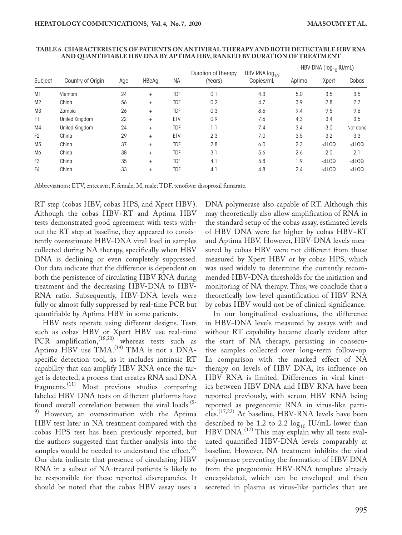|                |                   |     |        |            | Duration of Therapy | HBV RNA log <sub>10</sub> | HBV DNA ( $log_{10}$ IU/mL) |          |          |
|----------------|-------------------|-----|--------|------------|---------------------|---------------------------|-----------------------------|----------|----------|
| Subject        | Country of Origin | Age | HBeAg  | ΝA         | (Years)             | Copies/mL                 | Aptima                      | Xpert    | Cobas    |
| M1             | Vietnam           | 24  | $+$    | <b>TDF</b> | 0.1                 | 4.3                       | 5.0                         | 3.5      | 3.5      |
| M <sub>2</sub> | China             | 56  | $^{+}$ | <b>TDF</b> | 0.2                 | 4.7                       | 3.9                         | 2.8      | 2.7      |
| M <sub>3</sub> | Zambia            | 26  | $+$    | <b>TDF</b> | 0.3                 | 8.6                       | 9.4                         | 9.5      | 9.6      |
| F1             | United Kingdom    | 22  | $+$    | ETV        | 0.9                 | 7.6                       | 4.3                         | 3.4      | 3.5      |
| M4             | United Kingdom    | 24  | $+$    | <b>TDF</b> | 1.1                 | 7.4                       | 3.4                         | 3.0      | Not done |
| F <sub>2</sub> | China             | 29  | $^{+}$ | ETV        | 2.3                 | 7.0                       | 3.5                         | 3.2      | 3.3      |
| M <sub>5</sub> | China             | 37  | $+$    | <b>TDF</b> | 2.8                 | 6.0                       | 2.3                         | $<$ LLOQ | $<$ LLOQ |
| M6             | China             | 38  | $+$    | <b>TDF</b> | 3.1                 | 5.6                       | 2.6                         | 2.0      | 2.1      |
| F <sub>3</sub> | China             | 35  | $+$    | <b>TDF</b> | 4.1                 | 5.8                       | 1.9                         | $<$ LLOQ | $<$ LLOQ |
| F4             | China             | 33  | $^{+}$ | <b>TDF</b> | 4.1                 | 4.8                       | 2.4                         | $<$ LLOQ | $<$ LLOQ |

#### **TABLE 6. CHARACTERISTICS OF PATIENTS ON ANTIVIRAL THERAPY AND BOTH DETECTABLE HBV RNA AND QUANTIFIABLE HBV DNA BY APTIMA HBV, RANKED BY DURATION OF TREATMENT**

Abbreviations: ETV, entecavir; F, female; M, male; TDF, tenofovir disoproxil fumarate.

RT step (cobas HBV, cobas HPS, and Xpert HBV). Although the cobas HBV+RT and Aptima HBV tests demonstrated good agreement with tests without the RT step at baseline, they appeared to consistently overestimate HBV-DNA viral load in samples collected during NA therapy, specifically when HBV DNA is declining or even completely suppressed. Our data indicate that the difference is dependent on both the persistence of circulating HBV RNA during treatment and the decreasing HBV-DNA to HBV-RNA ratio. Subsequently, HBV-DNA levels were fully or almost fully suppressed by real-time PCR but quantifiable by Aptima HBV in some patients.

HBV tests operate using different designs. Tests such as cobas HBV or Xpert HBV use real-time PCR amplification,  $(18,20)$  whereas tests such as Aptima HBV use TMA.<sup>(19)</sup> TMA is not a DNAspecific detection tool, as it includes intrinsic RT capability that can amplify HBV RNA once the target is detected, a process that creates RNA and DNA fragments.(11) Most previous studies comparing labeled HBV-DNA tests on different platforms have found overall correlation between the viral loads.<sup>(5-</sup> 9) However, an overestimation with the Aptima HBV test later in NA treatment compared with the cobas HPS test has been previously reported, but the authors suggested that further analysis into the samples would be needed to understand the effect. $(6)$ Our data indicate that presence of circulating HBV RNA in a subset of NA-treated patients is likely to be responsible for these reported discrepancies. It should be noted that the cobas HBV assay uses a

DNA polymerase also capable of RT. Although this may theoretically also allow amplification of RNA in the standard setup of the cobas assay, estimated levels of HBV DNA were far higher by cobas HBV+RT and Aptima HBV. However, HBV-DNA levels measured by cobas HBV were not different from those measured by Xpert HBV or by cobas HPS, which was used widely to determine the currently recommended HBV-DNA thresholds for the initiation and monitoring of NA therapy. Thus, we conclude that a theoretically low-level quantification of HBV RNA by cobas HBV would not be of clinical significance.

In our longitudinal evaluations, the difference in HBV-DNA levels measured by assays with and without RT capability became clearly evident after the start of NA therapy, persisting in consecutive samples collected over long-term follow-up. In comparison with the marked effect of NA therapy on levels of HBV DNA, its influence on HBV RNA is limited. Differences in viral kinetics between HBV DNA and HBV RNA have been reported previously, with serum HBV RNA being reported as pregenomic RNA in virus-like particles.(17,22) At baseline, HBV-RNA levels have been described to be 1.2 to 2.2  $log_{10}$  IU/mL lower than HBV DNA.<sup>(17)</sup> This may explain why all tests evaluated quantified HBV-DNA levels comparably at baseline. However, NA treatment inhibits the viral polymerase preventing the formation of HBV DNA from the pregenomic HBV-RNA template already encapsidated, which can be enveloped and then secreted in plasma as virus-like particles that are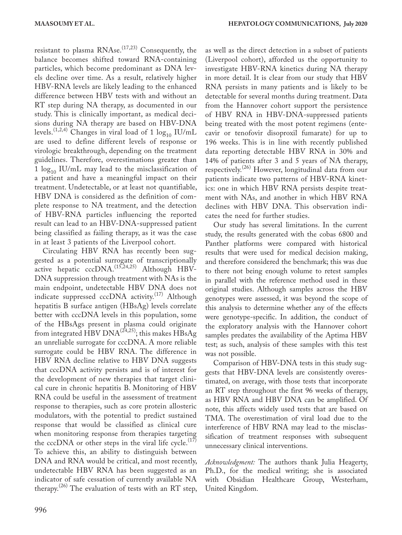as well as the direct detection in a subset of patients

resistant to plasma  $\text{RN}$ Ase.<sup> $(17,23)$ </sup> Consequently, the balance becomes shifted toward RNA-containing particles, which become predominant as DNA levels decline over time. As a result, relatively higher HBV-RNA levels are likely leading to the enhanced difference between HBV tests with and without an RT step during NA therapy, as documented in our study. This is clinically important, as medical decisions during NA therapy are based on HBV-DNA levels.<sup>(1,2,4)</sup> Changes in viral load of 1  $log_{10}$  IU/mL are used to define different levels of response or virologic breakthrough, depending on the treatment guidelines. Therefore, overestimations greater than 1  $\log_{10}$  IU/mL may lead to the misclassification of a patient and have a meaningful impact on their treatment. Undetectable, or at least not quantifiable, HBV DNA is considered as the definition of complete response to NA treatment, and the detection of HBV-RNA particles influencing the reported result can lead to an HBV-DNA-suppressed patient being classified as failing therapy, as it was the case in at least 3 patients of the Liverpool cohort.

Circulating HBV RNA has recently been suggested as a potential surrogate of transcriptionally active hepatic cccDNA.<sup>(15,24,25)</sup> Although HBV-DNA suppression through treatment with NAs is the main endpoint, undetectable HBV DNA does not indicate suppressed cccDNA activity.<sup>(17)</sup> Although hepatitis B surface antigen (HBsAg) levels correlate better with cccDNA levels in this population, some of the HBsAgs present in plasma could originate from integrated HBV DNA<sup>(24,25)</sup>; this makes HBsAg an unreliable surrogate for cccDNA. A more reliable surrogate could be HBV RNA. The difference in HBV RNA decline relative to HBV DNA suggests that cccDNA activity persists and is of interest for the development of new therapies that target clinical cure in chronic hepatitis B. Monitoring of HBV RNA could be useful in the assessment of treatment response to therapies, such as core protein allosteric modulators, with the potential to predict sustained response that would be classified as clinical cure when monitoring response from therapies targeting the cccDNA or other steps in the viral life cycle.<sup>(17)</sup> To achieve this, an ability to distinguish between DNA and RNA would be critical, and most recently, undetectable HBV RNA has been suggested as an indicator of safe cessation of currently available NA therapy.(26) The evaluation of tests with an RT step, (Liverpool cohort), afforded us the opportunity to investigate HBV-RNA kinetics during NA therapy in more detail. It is clear from our study that HBV RNA persists in many patients and is likely to be detectable for several months during treatment. Data from the Hannover cohort support the persistence of HBV RNA in HBV-DNA-suppressed patients being treated with the most potent regimens (entecavir or tenofovir disoproxil fumarate) for up to 196 weeks. This is in line with recently published data reporting detectable HBV RNA in 30% and 14% of patients after 3 and 5 years of NA therapy, respectively.(26) However, longitudinal data from our patients indicate two patterns of HBV-RNA kinetics: one in which HBV RNA persists despite treatment with NAs, and another in which HBV RNA declines with HBV DNA. This observation indicates the need for further studies.

Our study has several limitations. In the current study, the results generated with the cobas 6800 and Panther platforms were compared with historical results that were used for medical decision making, and therefore considered the benchmark; this was due to there not being enough volume to retest samples in parallel with the reference method used in these original studies. Although samples across the HBV genotypes were assessed, it was beyond the scope of this analysis to determine whether any of the effects were genotype-specific. In addition, the conduct of the exploratory analysis with the Hannover cohort samples predates the availability of the Aptima HBV test; as such, analysis of these samples with this test was not possible.

Comparison of HBV-DNA tests in this study suggests that HBV-DNA levels are consistently overestimated, on average, with those tests that incorporate an RT step throughout the first 96 weeks of therapy, as HBV RNA and HBV DNA can be amplified. Of note, this affects widely used tests that are based on TMA. The overestimation of viral load due to the interference of HBV RNA may lead to the misclassification of treatment responses with subsequent unnecessary clinical interventions.

*Acknowledgment:* The authors thank Julia Heagerty, Ph.D., for the medical writing; she is associated with Obsidian Healthcare Group, Westerham, United Kingdom.